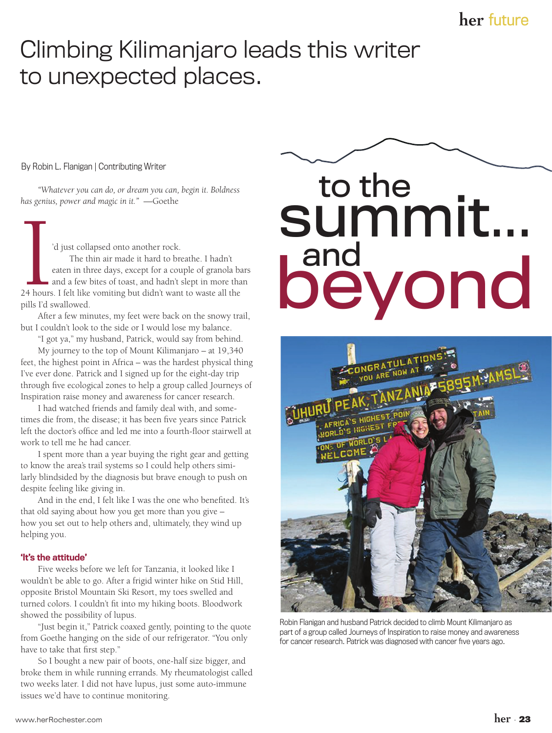## Climbing Kilimanjaro leads this writer to unexpected places.

### By Robin L. Flanigan | Contributing Writer

*"Whatever you can do, or dream you can, begin it. Boldness has genius, power and magic in it."* —Goethe

and the set of the set of the set of the set of the set of the set of the set of the set of the set of the set of the set of the set of the set of the set of the set of the set of the set of the set of the set of the set o 'd just collapsed onto another rock. The thin air made it hard to breathe. I hadn't eaten in three days, except for a couple of granola bars and a few bites of toast, and hadn't slept in more than 24 hours. I felt like vomiting but didn't want to waste all the pills I'd swallowed.

After a few minutes, my feet were back on the snowy trail, but I couldn't look to the side or I would lose my balance.

"I got ya," my husband, Patrick, would say from behind.

My journey to the top of Mount Kilimanjaro – at 19,340 feet, the highest point in Africa – was the hardest physical thing I've ever done. Patrick and I signed up for the eight-day trip through five ecological zones to help a group called Journeys of Inspiration raise money and awareness for cancer research.

I had watched friends and family deal with, and sometimes die from, the disease; it has been five years since Patrick left the doctor's office and led me into a fourth-floor stairwell at work to tell me he had cancer.

I spent more than a year buying the right gear and getting to know the area's trail systems so I could help others similarly blindsided by the diagnosis but brave enough to push on despite feeling like giving in.

And in the end, I felt like I was the one who benefited. It's that old saying about how you get more than you give – how you set out to help others and, ultimately, they wind up helping you.

### 'It's the attitude'

Five weeks before we left for Tanzania, it looked like I wouldn't be able to go. After a frigid winter hike on Stid Hill, opposite Bristol Mountain Ski Resort, my toes swelled and turned colors. I couldn't fit into my hiking boots. Bloodwork showed the possibility of lupus.

"Just begin it," Patrick coaxed gently, pointing to the quote from Goethe hanging on the side of our refrigerator. "You only have to take that first step."

So I bought a new pair of boots, one-half size bigger, and broke them in while running errands. My rheumatologist called two weeks later. I did not have lupus, just some auto-immune issues we'd have to continue monitoring.

# beyond to the<br>SUMMIT... and



Robin Flanigan and husband Patrick decided to climb Mount Kilimanjaro as part of a group called Journeys of Inspiration to raise money and awareness for cancer research. Patrick was diagnosed with cancer five years ago.